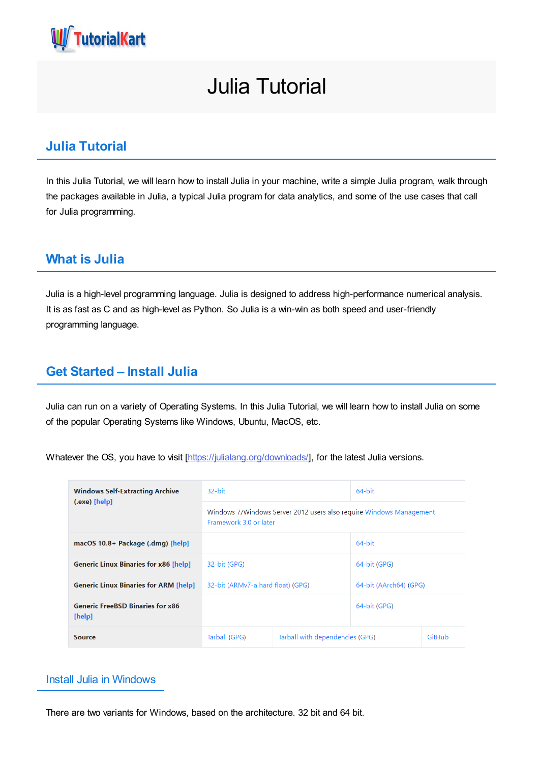

# Julia Tutorial

## **Julia Tutorial**

In this Julia Tutorial, we will learn how to install Julia in your machine, write a simple Julia program, walk through the packages available in Julia, a typical Julia program for data analytics, and some of the use cases that call for Julia programming.

## **What is Julia**

Julia is a high-level programming language. Julia is designed to address high-performance numerical analysis. It is as fast as C and as high-level as Python. So Julia is a win-win as both speed and user-friendly programming language.

## **Get Started – Install Julia**

Julia can run on a variety of Operating Systems. In this Julia Tutorial, we will learn how to install Julia on some of the popular Operating Systems like Windows, Ubuntu, MacOS, etc.

Whatever the OS, you have to visit [\[https://julialang.org/downloads/](https://julialang.org/downloads/)], for the latest Julia versions.

| <b>Windows Self-Extracting Archive</b><br>(.exe) [help] | 32-bit                                                                                        |                                           | 64-bit                 |  |
|---------------------------------------------------------|-----------------------------------------------------------------------------------------------|-------------------------------------------|------------------------|--|
|                                                         | Windows 7/Windows Server 2012 users also require Windows Management<br>Framework 3.0 or later |                                           |                        |  |
| macOS 10.8+ Package (.dmg) [help]                       |                                                                                               |                                           | 64-bit                 |  |
| <b>Generic Linux Binaries for x86 [help]</b>            | 32-bit (GPG)                                                                                  |                                           | 64-bit (GPG)           |  |
| <b>Generic Linux Binaries for ARM [help]</b>            | 32-bit (ARMv7-a hard float) (GPG)                                                             |                                           | 64-bit (AArch64) (GPG) |  |
| <b>Generic FreeBSD Binaries for x86</b><br>[help]       |                                                                                               |                                           | 64-bit (GPG)           |  |
| <b>Source</b>                                           | Tarball (GPG)                                                                                 | Tarball with dependencies (GPG)<br>GitHub |                        |  |

### Install Julia in Windows

There are two variants for Windows, based on the architecture. 32 bit and 64 bit.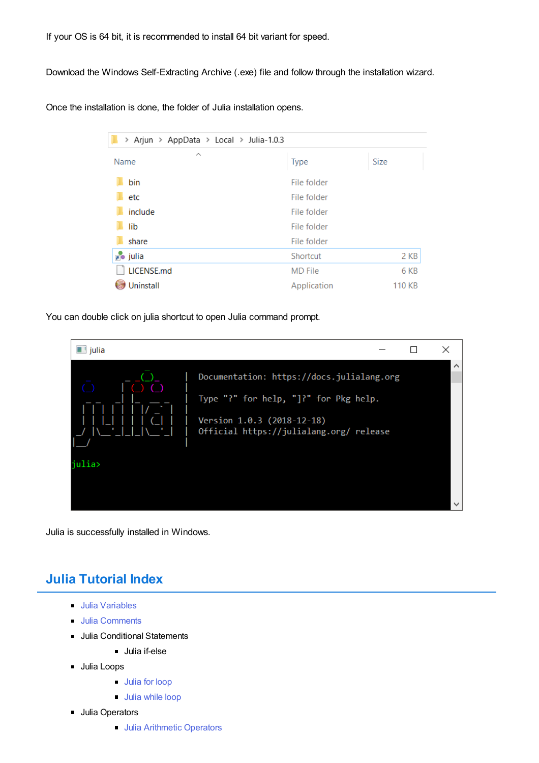If your OS is 64 bit, it is recommended to install 64 bit variant for speed.

Download the Windows Self-Extracting Archive (.exe) file and follow through the installation wizard.

Once the installation is done, the folder of Julia installation opens.

| > Arjun > AppData > Local > Julia-1.0.3 |                |        |
|-----------------------------------------|----------------|--------|
| ⌒<br>Name                               | <b>Type</b>    | Size   |
| bin                                     | File folder    |        |
| etc                                     | File folder    |        |
| include                                 | File folder    |        |
| lib                                     | File folder    |        |
| share                                   | File folder    |        |
| <sub>no</sub> julia                     | Shortcut       | 2 KB   |
| LICENSE.md                              | <b>MD</b> File | 6 KB   |
| Uninstall                               | Application    | 110 KB |

You can double click on julia shortcut to open Julia command prompt.



Julia is successfully installed in Windows.

## **Julia Tutorial Index**

- **Julia [Variables](https://www.tutorialkart.com/julia/julia-variables/)**
- **Julia [Comments](https://www.tutorialkart.com/julia/julia-comments/)**
- Julia Conditional Statements
	- Julia if-else
- **Julia Loops** 
	- **[Julia](https://www.tutorialkart.com/julia/julia-for-loop/) for loop**
	- **Julia [while](https://www.tutorialkart.com/julia/julia-while-loop/) loop**
- **Julia Operators** 
	- **Julia [Arithmetic](https://www.tutorialkart.com/julia/julia-arithmetic-operators/) Operators**